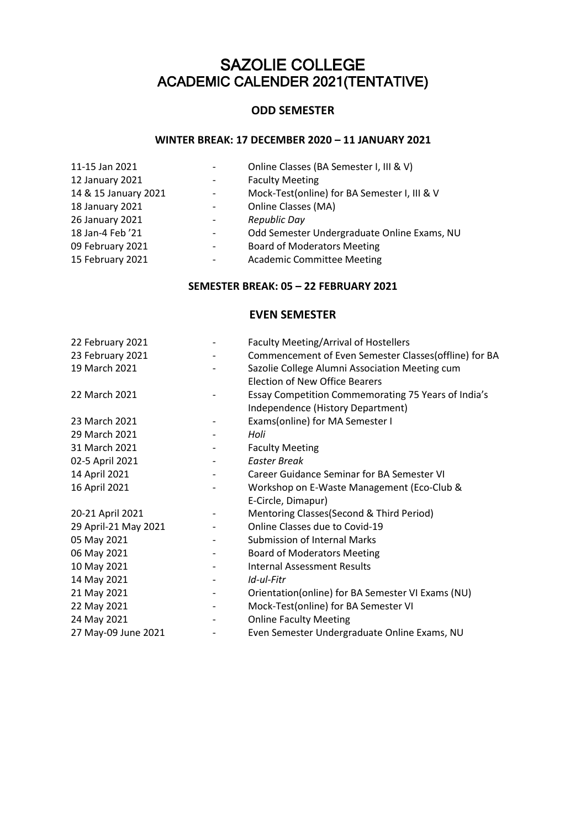# SAZOLIE COLLEGE ACADEMIC CALENDER 2021(TENTATIVE)

## **ODD SEMESTER**

#### **WINTER BREAK: 17 DECEMBER 2020 – 11 JANUARY 2021**

| 11-15 Jan 2021       |                          | Online Classes (BA Semester I, III & V)      |
|----------------------|--------------------------|----------------------------------------------|
| 12 January 2021      | $\overline{\phantom{a}}$ | <b>Faculty Meeting</b>                       |
| 14 & 15 January 2021 |                          | Mock-Test(online) for BA Semester I, III & V |
| 18 January 2021      | $\overline{\phantom{a}}$ | Online Classes (MA)                          |
| 26 January 2021      |                          | <b>Republic Day</b>                          |
| 18 Jan-4 Feb '21     | $\overline{\phantom{a}}$ | Odd Semester Undergraduate Online Exams, NU  |
| 09 February 2021     | $\overline{\phantom{a}}$ | <b>Board of Moderators Meeting</b>           |
| 15 February 2021     |                          | <b>Academic Committee Meeting</b>            |
|                      |                          |                                              |

## **SEMESTER BREAK: 05 – 22 FEBRUARY 2021**

#### **EVEN SEMESTER**

| 22 February 2021     | $\overline{\phantom{a}}$ | Faculty Meeting/Arrival of Hostellers                 |
|----------------------|--------------------------|-------------------------------------------------------|
| 23 February 2021     | $\overline{\phantom{0}}$ | Commencement of Even Semester Classes(offline) for BA |
| 19 March 2021        |                          | Sazolie College Alumni Association Meeting cum        |
|                      |                          | Election of New Office Bearers                        |
| 22 March 2021        |                          | Essay Competition Commemorating 75 Years of India's   |
|                      |                          | Independence (History Department)                     |
| 23 March 2021        | $\overline{\phantom{a}}$ | Exams(online) for MA Semester I                       |
| 29 March 2021        | $\overline{\phantom{a}}$ | Holi                                                  |
| 31 March 2021        |                          | <b>Faculty Meeting</b>                                |
| 02-5 April 2021      | $\overline{\phantom{a}}$ | <b>Easter Break</b>                                   |
| 14 April 2021        | $\overline{\phantom{a}}$ | Career Guidance Seminar for BA Semester VI            |
| 16 April 2021        | $\overline{\phantom{a}}$ | Workshop on E-Waste Management (Eco-Club &            |
|                      |                          | E-Circle, Dimapur)                                    |
| 20-21 April 2021     | $\overline{\phantom{a}}$ | Mentoring Classes (Second & Third Period)             |
| 29 April-21 May 2021 |                          | Online Classes due to Covid-19                        |
| 05 May 2021          | $\overline{\phantom{a}}$ | <b>Submission of Internal Marks</b>                   |
| 06 May 2021          | $\overline{\phantom{a}}$ | <b>Board of Moderators Meeting</b>                    |
| 10 May 2021          | $\overline{\phantom{a}}$ | <b>Internal Assessment Results</b>                    |
| 14 May 2021          | $\overline{\phantom{a}}$ | Id-ul-Fitr                                            |
| 21 May 2021          | $\overline{\phantom{a}}$ | Orientation(online) for BA Semester VI Exams (NU)     |
| 22 May 2021          | $\overline{\phantom{a}}$ | Mock-Test(online) for BA Semester VI                  |
| 24 May 2021          |                          | <b>Online Faculty Meeting</b>                         |
| 27 May-09 June 2021  | -                        | Even Semester Undergraduate Online Exams, NU          |